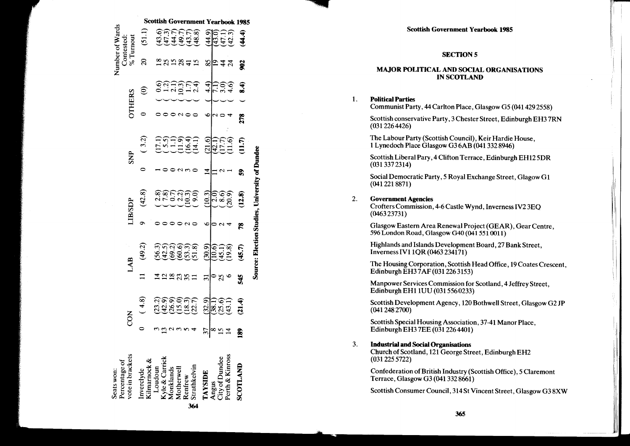# **SECTION 5**

## **MAJOR POLITICAL AND SOCIAL ORGANISATIONS IN SCOTLAND**

### **Political Parties**  $\mathbf{1}$ .

Communist Party, 44 Carlton Place, Glasgow G5 (041 429 2558)

Scottish conservative Party, 3 Chester Street, Edinburgh EH37RN  $(0312264426)$ 

The Labour Party (Scottish Council), Keir Hardie House, 1 Lynedoch Place Glasgow G36AB (041 332 8946)

Scottish Liberal Pary, 4 Clifton Terrace, Edinburgh EH125DR  $(0313372314)$ 

Social Democratic Party, 5 Royal Exchange Street, Glagow G1  $(0412218871)$ 

#### $\overline{2}$ . **Government Agencies**

Crofters Commission, 4-6 Castle Wynd, Inverness IV2 3EO  $(046323731)$ 

Glasgow Eastern Area Renewal Project (GEAR), Gear Centre, 596 London Road, Glasgow G40 (041 551 0011)

Highlands and Islands Development Board, 27 Bank Street, Inverness IV1 1OR (0463 234171)

The Housing Corporation, Scottish Head Office, 19 Coates Crescent. Edinburgh EH37AF (031 226 3153)

Manpower Services Commission for Scotland, 4 Jeffrey Street, Edinburgh EH1 1UU (031 556 0233)

Scottish Development Agency, 120 Bothwell Street, Glasgow G2 JP  $(0412482700)$ 

Scottish Special Housing Association, 37-41 Manor Place, Edinburgh EH3 7EE (031 226 4401)

#### 3. **Industrial and Social Organisations**

Church of Scotland, 121 George Street, Edinburgh EH2  $(031 225 5722)$ 

Confederation of British Industry (Scottish Office), 5 Claremont Terrace, Glasgow G3 (041 332 8661)

Scottish Consumer Council, 314 St Vincent Street, Glasgow G3 8XW